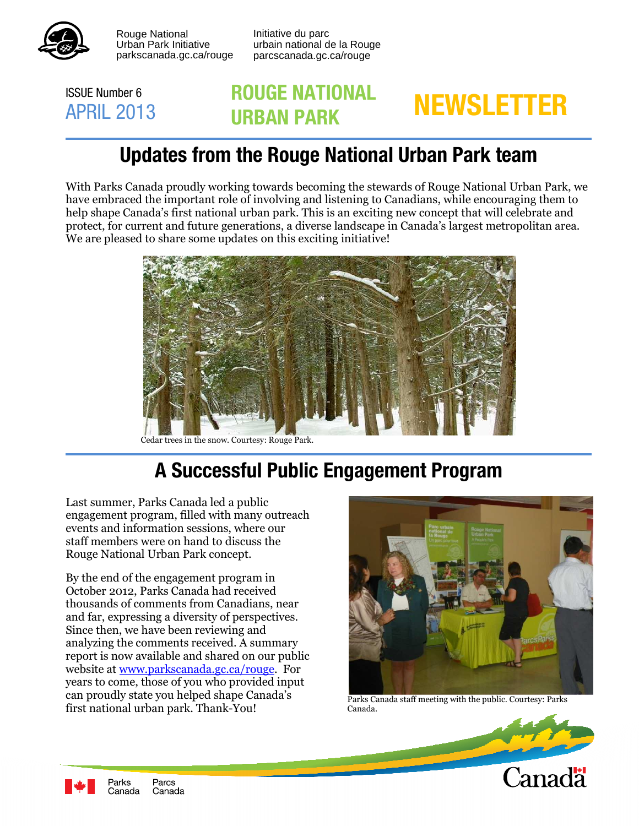

Rouge National Urban Park Initiative<br>parkscanada.gc.ca/rouge Rouge National **Initiative du parc** 

 Urban Park Initiative urbain national de la Rouge parcscanada.gc.ca/rouge

#### ISSUE Number 6 APRIL 2013

# **ROUGE NATIONAL NEWSLETTER URBAN PARK**

## **Updates from the Rouge National Urban Park team**

 With Parks Canada proudly working towards becoming the stewards of Rouge National Urban Park, we have embraced the important role of involving and listening to Canadians, while encouraging them to help shape Canada's first national urban park. This is an exciting new concept that will celebrate and protect, for current and future generations, a diverse landscape in Canada's largest metropolitan area. We are pleased to share some updates on this exciting initiative!



Cedar trees in the snow. Courtesy: Rouge Park.

# **A Successful Public Engagement Program**

 Last summer, Parks Canada led a public engagement program, filled with many outreach events and information sessions, where our staff members were on hand to discuss the Rouge National Urban Park concept.

 By the end of the engagement program in October 2012, Parks Canada had received thousands of comments from Canadians, near and far, expressing a diversity of perspectives. Since then, we have been reviewing and analyzing the comments received. A summary report is now available and shared on our public website at <u>www.parkscanada.gc.ca/rouge</u>. For years to come, those of you who provided input can proudly state you helped shape Canada's call produtly state you helped shape Canada s<br>first national urban park. Thank-You! Canada. Canada.



Parks Canada staff meeting with the public. Courtesy: Parks Canada.